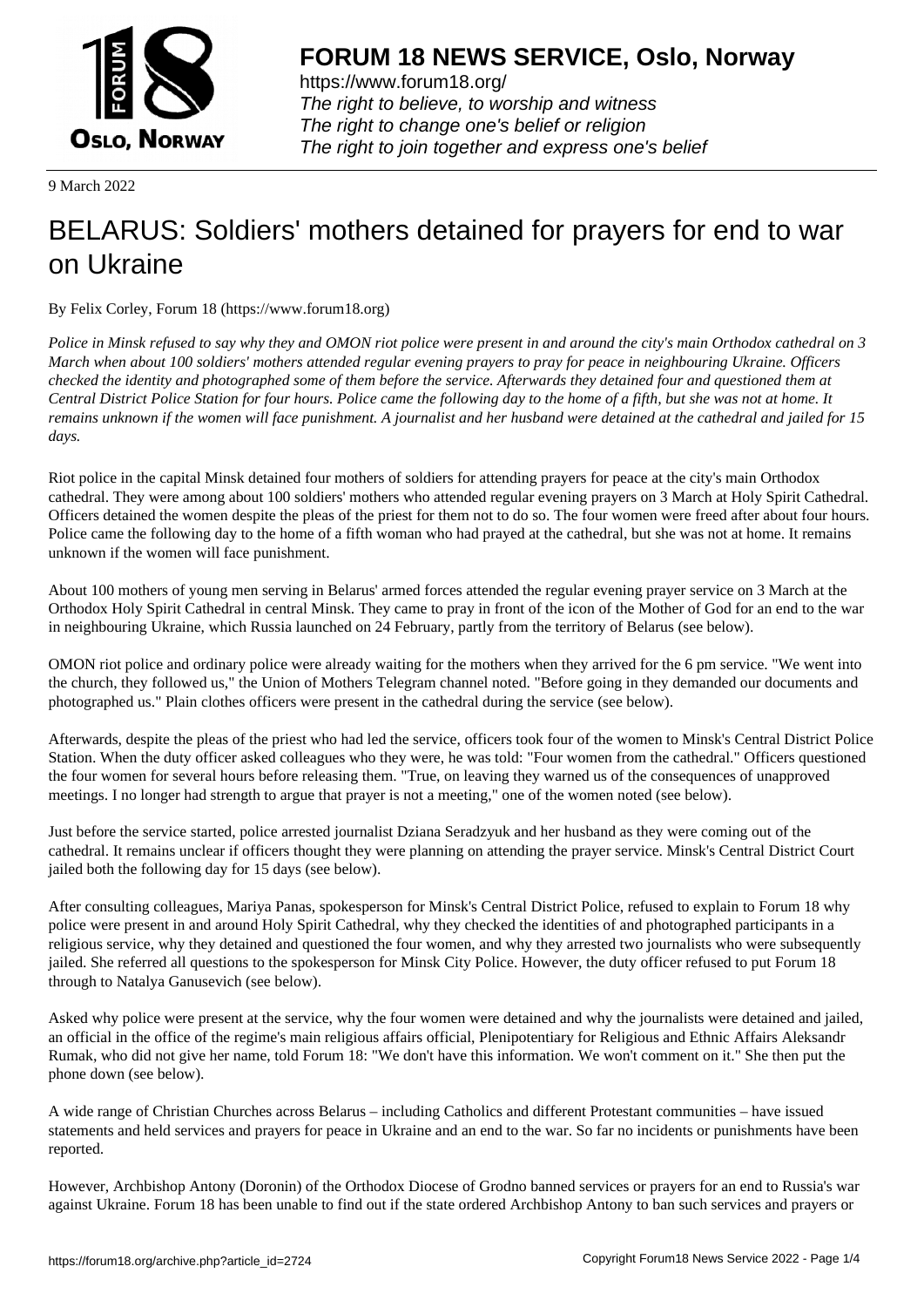

https://www.forum18.org/ The right to believe, to worship and witness The right to change one's belief or religion [The right to join together a](https://www.forum18.org/)nd express one's belief

9 March 2022

# [BELARUS: Sold](https://www.forum18.org)iers' mothers detained for prayers for end to war on Ukraine

By Felix Corley, Forum 18 (https://www.forum18.org)

*Police in Minsk refused to say why they and OMON riot police were present in and around the city's main Orthodox cathedral on 3 March when about 100 soldiers' mothers attended regular evening prayers to pray for peace in neighbouring Ukraine. Officers checked the identity and photographed some of them before the service. Afterwards they detained four and questioned them at Central District Police Station for four hours. Police came the following day to the home of a fifth, but she was not at home. It remains unknown if the women will face punishment. A journalist and her husband were detained at the cathedral and jailed for 15 days.*

Riot police in the capital Minsk detained four mothers of soldiers for attending prayers for peace at the city's main Orthodox cathedral. They were among about 100 soldiers' mothers who attended regular evening prayers on 3 March at Holy Spirit Cathedral. Officers detained the women despite the pleas of the priest for them not to do so. The four women were freed after about four hours. Police came the following day to the home of a fifth woman who had prayed at the cathedral, but she was not at home. It remains unknown if the women will face punishment.

About 100 mothers of young men serving in Belarus' armed forces attended the regular evening prayer service on 3 March at the Orthodox Holy Spirit Cathedral in central Minsk. They came to pray in front of the icon of the Mother of God for an end to the war in neighbouring Ukraine, which Russia launched on 24 February, partly from the territory of Belarus (see below).

OMON riot police and ordinary police were already waiting for the mothers when they arrived for the 6 pm service. "We went into the church, they followed us," the Union of Mothers Telegram channel noted. "Before going in they demanded our documents and photographed us." Plain clothes officers were present in the cathedral during the service (see below).

Afterwards, despite the pleas of the priest who had led the service, officers took four of the women to Minsk's Central District Police Station. When the duty officer asked colleagues who they were, he was told: "Four women from the cathedral." Officers questioned the four women for several hours before releasing them. "True, on leaving they warned us of the consequences of unapproved meetings. I no longer had strength to argue that prayer is not a meeting," one of the women noted (see below).

Just before the service started, police arrested journalist Dziana Seradzyuk and her husband as they were coming out of the cathedral. It remains unclear if officers thought they were planning on attending the prayer service. Minsk's Central District Court jailed both the following day for 15 days (see below).

After consulting colleagues, Mariya Panas, spokesperson for Minsk's Central District Police, refused to explain to Forum 18 why police were present in and around Holy Spirit Cathedral, why they checked the identities of and photographed participants in a religious service, why they detained and questioned the four women, and why they arrested two journalists who were subsequently jailed. She referred all questions to the spokesperson for Minsk City Police. However, the duty officer refused to put Forum 18 through to Natalya Ganusevich (see below).

Asked why police were present at the service, why the four women were detained and why the journalists were detained and jailed, an official in the office of the regime's main religious affairs official, Plenipotentiary for Religious and Ethnic Affairs Aleksandr Rumak, who did not give her name, told Forum 18: "We don't have this information. We won't comment on it." She then put the phone down (see below).

A wide range of Christian Churches across Belarus – including Catholics and different Protestant communities – have issued statements and held services and prayers for peace in Ukraine and an end to the war. So far no incidents or punishments have been reported.

However, Archbishop Antony (Doronin) of the Orthodox Diocese of Grodno banned services or prayers for an end to Russia's war against Ukraine. Forum 18 has been unable to find out if the state ordered Archbishop Antony to ban such services and prayers or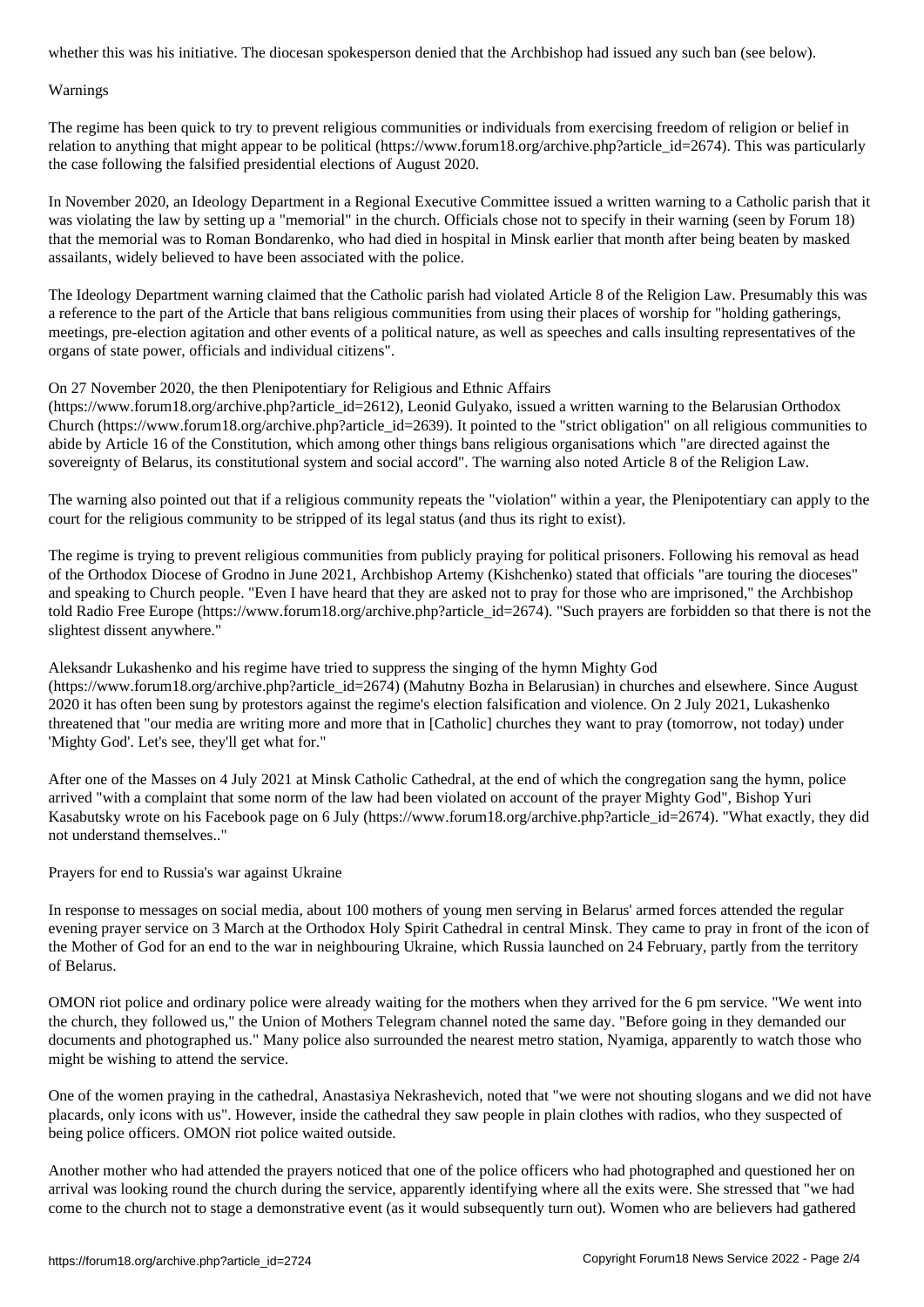#### Warnings

The regime has been quick to try to prevent religious communities or individuals from exercising freedom of religion or belief in relation to anything that might appear to be political (https://www.forum18.org/archive.php?article\_id=2674). This was particularly the case following the falsified presidential elections of August 2020.

In November 2020, an Ideology Department in a Regional Executive Committee issued a written warning to a Catholic parish that it was violating the law by setting up a "memorial" in the church. Officials chose not to specify in their warning (seen by Forum 18) that the memorial was to Roman Bondarenko, who had died in hospital in Minsk earlier that month after being beaten by masked assailants, widely believed to have been associated with the police.

The Ideology Department warning claimed that the Catholic parish had violated Article 8 of the Religion Law. Presumably this was a reference to the part of the Article that bans religious communities from using their places of worship for "holding gatherings, meetings, pre-election agitation and other events of a political nature, as well as speeches and calls insulting representatives of the organs of state power, officials and individual citizens".

# On 27 November 2020, the then Plenipotentiary for Religious and Ethnic Affairs

(https://www.forum18.org/archive.php?article\_id=2612), Leonid Gulyako, issued a written warning to the Belarusian Orthodox Church (https://www.forum18.org/archive.php?article  $id=2639$ ). It pointed to the "strict obligation" on all religious communities to abide by Article 16 of the Constitution, which among other things bans religious organisations which "are directed against the sovereignty of Belarus, its constitutional system and social accord". The warning also noted Article 8 of the Religion Law.

The warning also pointed out that if a religious community repeats the "violation" within a year, the Plenipotentiary can apply to the court for the religious community to be stripped of its legal status (and thus its right to exist).

The regime is trying to prevent religious communities from publicly praying for political prisoners. Following his removal as head of the Orthodox Diocese of Grodno in June 2021, Archbishop Artemy (Kishchenko) stated that officials "are touring the dioceses" and speaking to Church people. "Even I have heard that they are asked not to pray for those who are imprisoned," the Archbishop told Radio Free Europe (https://www.forum18.org/archive.php?article\_id=2674). "Such prayers are forbidden so that there is not the slightest dissent anywhere."

Aleksandr Lukashenko and his regime have tried to suppress the singing of the hymn Mighty God (https://www.forum18.org/archive.php?article\_id=2674) (Mahutny Bozha in Belarusian) in churches and elsewhere. Since August 2020 it has often been sung by protestors against the regime's election falsification and violence. On 2 July 2021, Lukashenko threatened that "our media are writing more and more that in [Catholic] churches they want to pray (tomorrow, not today) under 'Mighty God'. Let's see, they'll get what for."

After one of the Masses on 4 July 2021 at Minsk Catholic Cathedral, at the end of which the congregation sang the hymn, police arrived "with a complaint that some norm of the law had been violated on account of the prayer Mighty God", Bishop Yuri Kasabutsky wrote on his Facebook page on 6 July (https://www.forum18.org/archive.php?article\_id=2674). "What exactly, they did not understand themselves.."

Prayers for end to Russia's war against Ukraine

In response to messages on social media, about 100 mothers of young men serving in Belarus' armed forces attended the regular evening prayer service on 3 March at the Orthodox Holy Spirit Cathedral in central Minsk. They came to pray in front of the icon of the Mother of God for an end to the war in neighbouring Ukraine, which Russia launched on 24 February, partly from the territory of Belarus.

OMON riot police and ordinary police were already waiting for the mothers when they arrived for the 6 pm service. "We went into the church, they followed us," the Union of Mothers Telegram channel noted the same day. "Before going in they demanded our documents and photographed us." Many police also surrounded the nearest metro station, Nyamiga, apparently to watch those who might be wishing to attend the service.

One of the women praying in the cathedral, Anastasiya Nekrashevich, noted that "we were not shouting slogans and we did not have placards, only icons with us". However, inside the cathedral they saw people in plain clothes with radios, who they suspected of being police officers. OMON riot police waited outside.

Another mother who had attended the prayers noticed that one of the police officers who had photographed and questioned her on arrival was looking round the church during the service, apparently identifying where all the exits were. She stressed that "we had come to the church not to stage a demonstrative event (as it would subsequently turn out). Women who are believers had gathered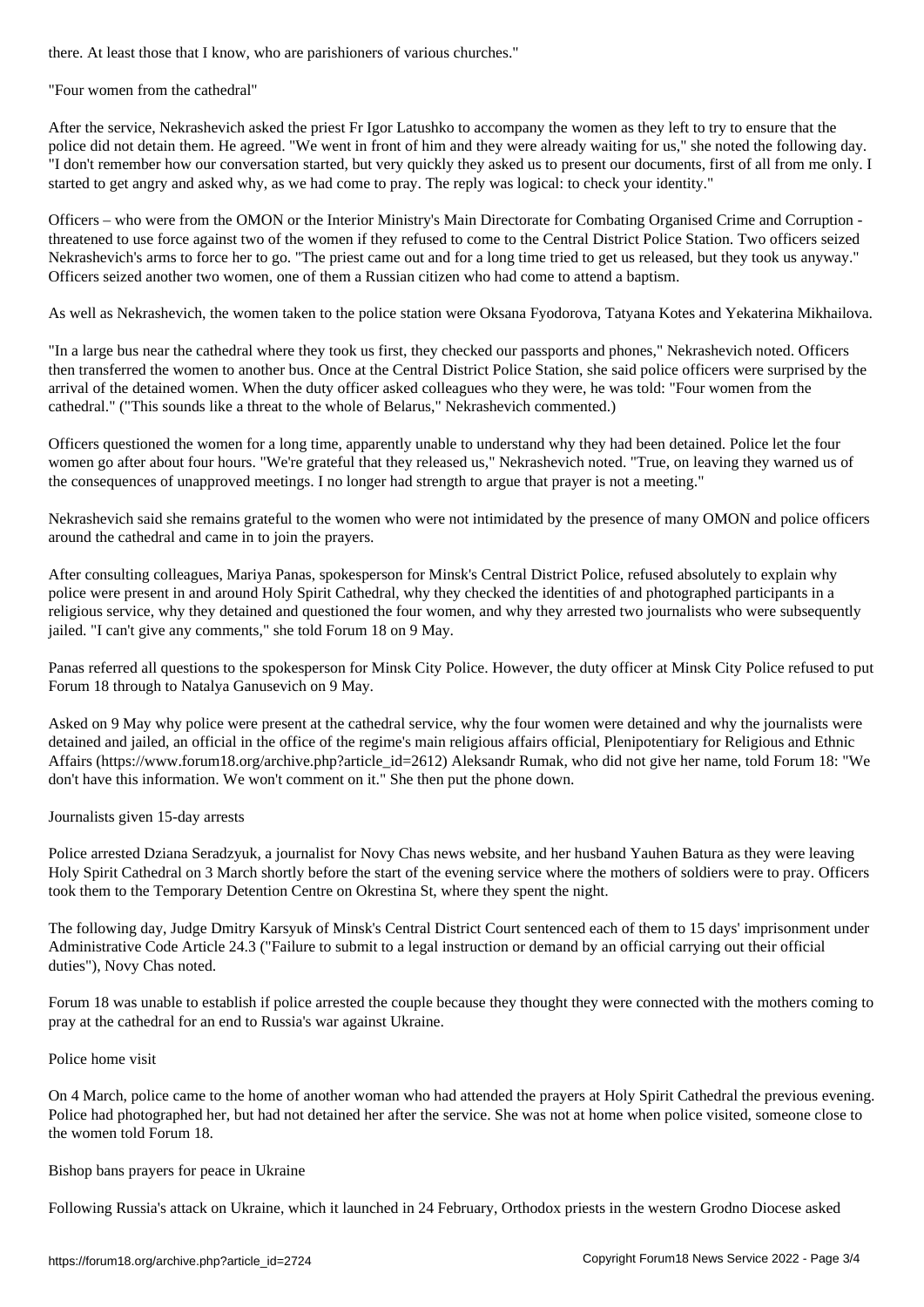"Four women from the cathedral"

After the service, Nekrashevich asked the priest Fr Igor Latushko to accompany the women as they left to try to ensure that the police did not detain them. He agreed. "We went in front of him and they were already waiting for us," she noted the following day. "I don't remember how our conversation started, but very quickly they asked us to present our documents, first of all from me only. I started to get angry and asked why, as we had come to pray. The reply was logical: to check your identity."

Officers – who were from the OMON or the Interior Ministry's Main Directorate for Combating Organised Crime and Corruption threatened to use force against two of the women if they refused to come to the Central District Police Station. Two officers seized Nekrashevich's arms to force her to go. "The priest came out and for a long time tried to get us released, but they took us anyway." Officers seized another two women, one of them a Russian citizen who had come to attend a baptism.

As well as Nekrashevich, the women taken to the police station were Oksana Fyodorova, Tatyana Kotes and Yekaterina Mikhailova.

"In a large bus near the cathedral where they took us first, they checked our passports and phones," Nekrashevich noted. Officers then transferred the women to another bus. Once at the Central District Police Station, she said police officers were surprised by the arrival of the detained women. When the duty officer asked colleagues who they were, he was told: "Four women from the cathedral." ("This sounds like a threat to the whole of Belarus," Nekrashevich commented.)

Officers questioned the women for a long time, apparently unable to understand why they had been detained. Police let the four women go after about four hours. "We're grateful that they released us," Nekrashevich noted. "True, on leaving they warned us of the consequences of unapproved meetings. I no longer had strength to argue that prayer is not a meeting."

Nekrashevich said she remains grateful to the women who were not intimidated by the presence of many OMON and police officers around the cathedral and came in to join the prayers.

After consulting colleagues, Mariya Panas, spokesperson for Minsk's Central District Police, refused absolutely to explain why police were present in and around Holy Spirit Cathedral, why they checked the identities of and photographed participants in a religious service, why they detained and questioned the four women, and why they arrested two journalists who were subsequently jailed. "I can't give any comments," she told Forum 18 on 9 May.

Panas referred all questions to the spokesperson for Minsk City Police. However, the duty officer at Minsk City Police refused to put Forum 18 through to Natalya Ganusevich on 9 May.

Asked on 9 May why police were present at the cathedral service, why the four women were detained and why the journalists were detained and jailed, an official in the office of the regime's main religious affairs official, Plenipotentiary for Religious and Ethnic Affairs (https://www.forum18.org/archive.php?article\_id=2612) Aleksandr Rumak, who did not give her name, told Forum 18: "We don't have this information. We won't comment on it." She then put the phone down.

Journalists given 15-day arrests

Police arrested Dziana Seradzyuk, a journalist for Novy Chas news website, and her husband Yauhen Batura as they were leaving Holy Spirit Cathedral on 3 March shortly before the start of the evening service where the mothers of soldiers were to pray. Officers took them to the Temporary Detention Centre on Okrestina St, where they spent the night.

The following day, Judge Dmitry Karsyuk of Minsk's Central District Court sentenced each of them to 15 days' imprisonment under Administrative Code Article 24.3 ("Failure to submit to a legal instruction or demand by an official carrying out their official duties"), Novy Chas noted.

Forum 18 was unable to establish if police arrested the couple because they thought they were connected with the mothers coming to pray at the cathedral for an end to Russia's war against Ukraine.

## Police home visit

On 4 March, police came to the home of another woman who had attended the prayers at Holy Spirit Cathedral the previous evening. Police had photographed her, but had not detained her after the service. She was not at home when police visited, someone close to the women told Forum 18.

## Bishop bans prayers for peace in Ukraine

Following Russia's attack on Ukraine, which it launched in 24 February, Orthodox priests in the western Grodno Diocese asked